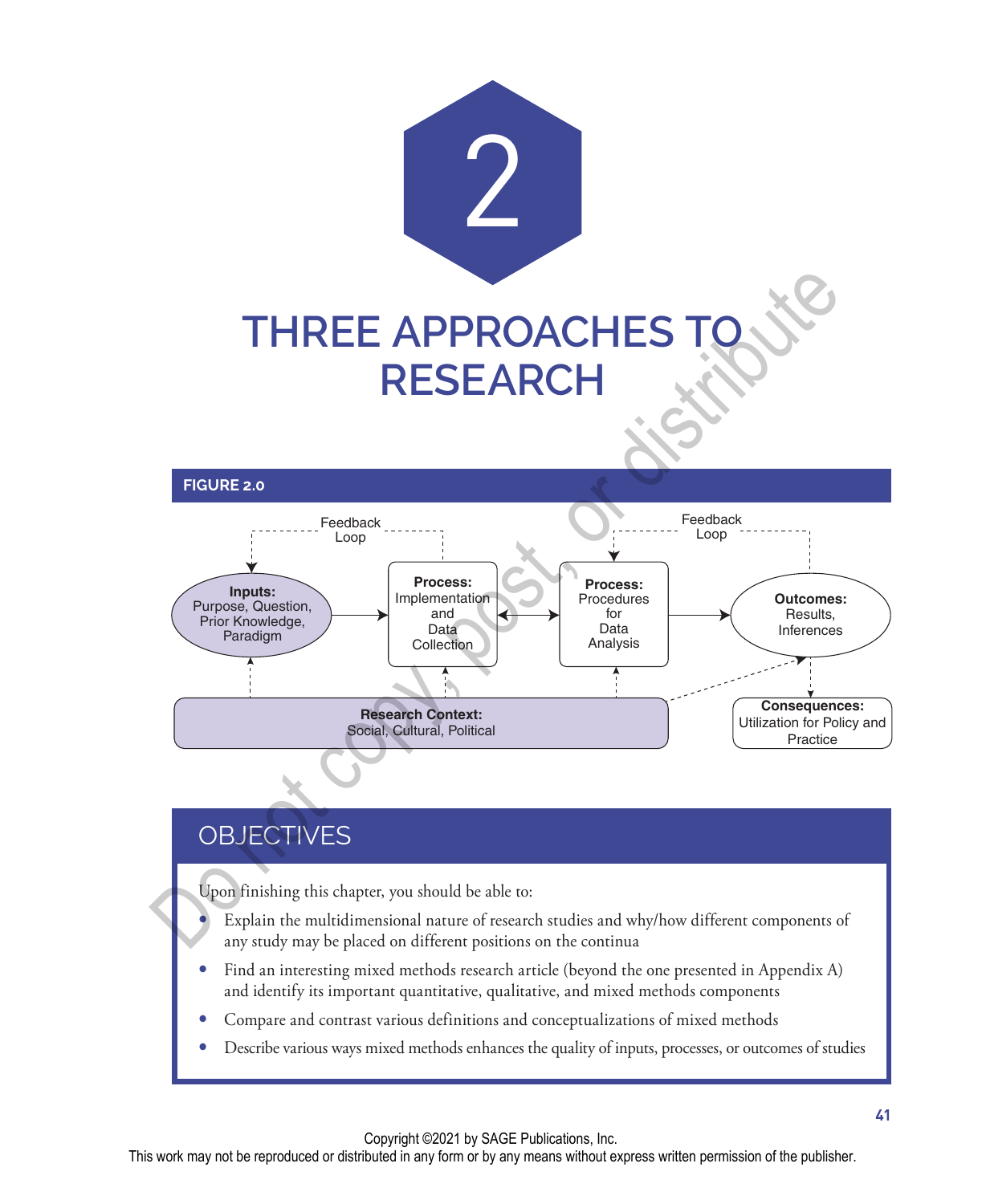

#### **FIGURE 2.0**



## **OBJECTIVES**

Upon finishing this chapter, you should be able to:

 Explain the multidimensional nature of research studies and why/how different components of any study may be placed on different positions on the continua

- Find an interesting mixed methods research article (beyond the one presented in Appendix A) and identify its important quantitative, qualitative, and mixed methods components
- Compare and contrast various definitions and conceptualizations of mixed methods
- Describe various ways mixed methods enhances the quality of inputs, processes, or outcomes of studies

Copyright ©2021 by SAGE Publications, Inc.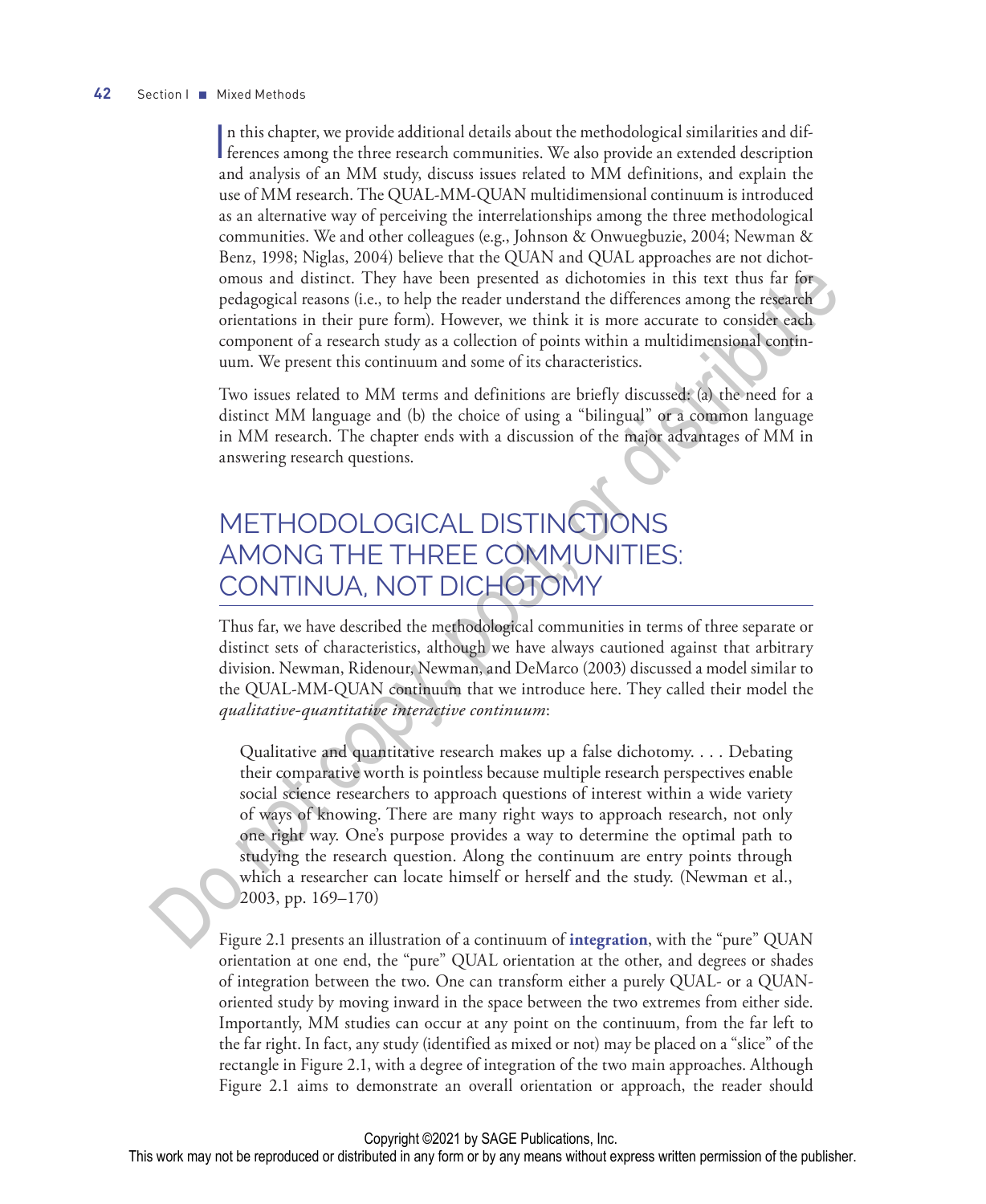In this chapter, we provide additional details about the methodological similarities and differences among the three research communities. We also provide an extended description n this chapter, we provide additional details about the methodological similarities and difand analysis of an MM study, discuss issues related to MM definitions, and explain the use of MM research. The QUAL-MM-QUAN multidimensional continuum is introduced as an alternative way of perceiving the interrelationships among the three methodological communities. We and other colleagues (e.g., Johnson & Onwuegbuzie, 2004; Newman & Benz, 1998; Niglas, 2004) believe that the QUAN and QUAL approaches are not dichotomous and distinct. They have been presented as dichotomies in this text thus far for pedagogical reasons (i.e., to help the reader understand the differences among the research orientations in their pure form). However, we think it is more accurate to consider each component of a research study as a collection of points within a multidimensional continuum. We present this continuum and some of its characteristics.

Two issues related to MM terms and definitions are briefly discussed: (a) the need for a distinct MM language and (b) the choice of using a "bilingual" or a common language in MM research. The chapter ends with a discussion of the major advantages of MM in answering research questions.

## METHODOLOGICAL DISTINCTIONS AMONG THE THREE COMMUNITIES: CONTINUA, NOT DICHOTOMY

Thus far, we have described the methodological communities in terms of three separate or distinct sets of characteristics, although we have always cautioned against that arbitrary division. Newman, Ridenour, Newman, and DeMarco (2003) discussed a model similar to the QUAL-MM-QUAN continuum that we introduce here. They called their model the *qualitative-quantitative interactive continuum*:

Qualitative and quantitative research makes up a false dichotomy. . . . Debating their comparative worth is pointless because multiple research perspectives enable social science researchers to approach questions of interest within a wide variety of ways of knowing. There are many right ways to approach research, not only one right way. One's purpose provides a way to determine the optimal path to studying the research question. Along the continuum are entry points through which a researcher can locate himself or herself and the study. (Newman et al., 2003, pp. 169–170) omous and distinct. They have been presented as dichotonies in this test thas far for specified relations (as to the present more consider an expective orientations in their pure form). However, we think it is more accurat

Figure 2.1 presents an illustration of a continuum of **integration**, with the "pure" QUAN orientation at one end, the "pure" QUAL orientation at the other, and degrees or shades of integration between the two. One can transform either a purely QUAL- or a QUANoriented study by moving inward in the space between the two extremes from either side. Importantly, MM studies can occur at any point on the continuum, from the far left to the far right. In fact, any study (identified as mixed or not) may be placed on a "slice" of the rectangle in Figure 2.1, with a degree of integration of the two main approaches. Although Figure 2.1 aims to demonstrate an overall orientation or approach, the reader should

#### Copyright ©2021 by SAGE Publications, Inc.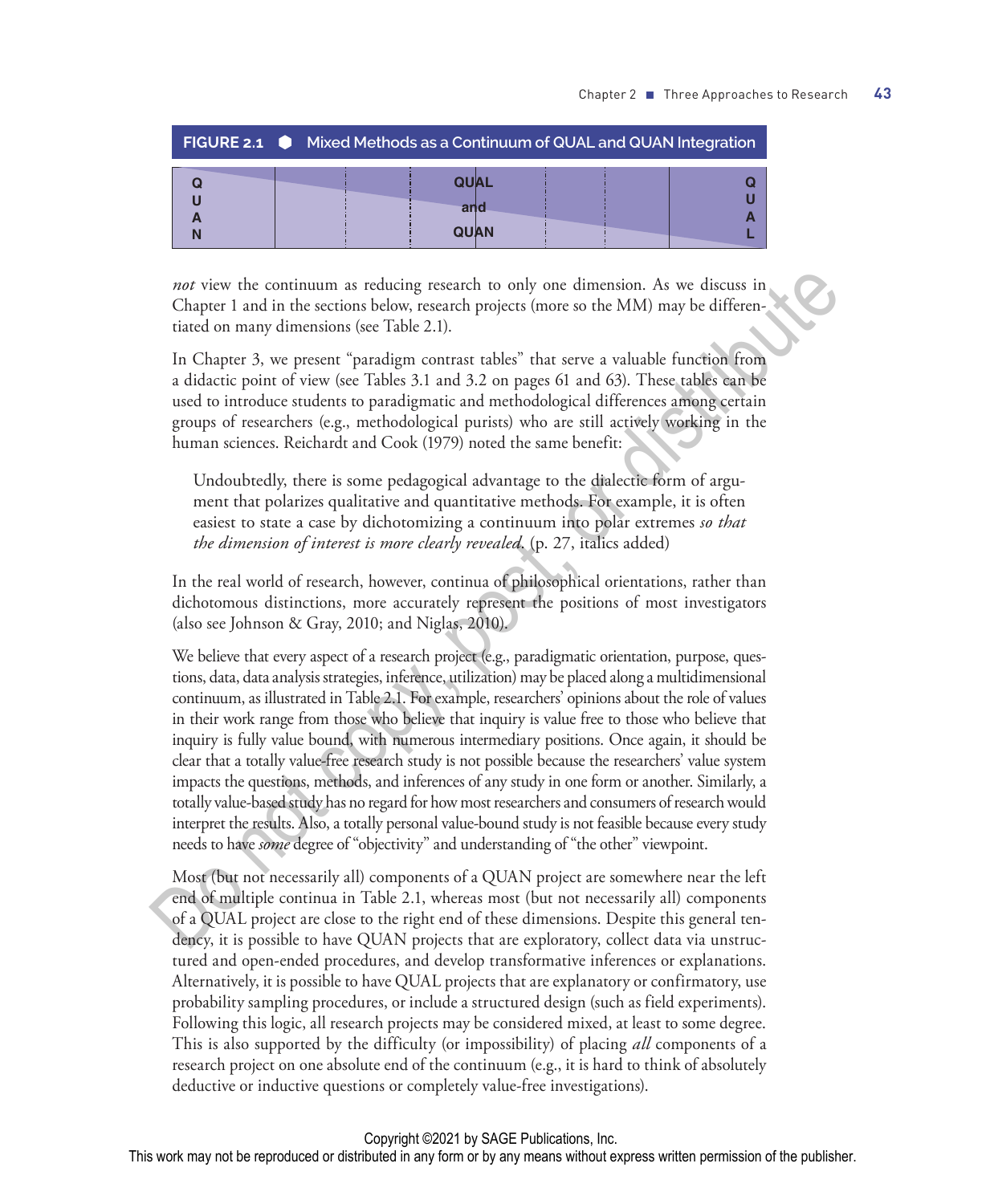|  | <b>FIGURE 2.1</b> Mixed Methods as a Continuum of QUAL and QUAN Integration |  |
|--|-----------------------------------------------------------------------------|--|
|  | <b>OUAL</b>                                                                 |  |
|  | and                                                                         |  |
|  | <b>QUAN</b>                                                                 |  |

*not* view the continuum as reducing research to only one dimension. As we discuss in Chapter 1 and in the sections below, research projects (more so the MM) may be differentiated on many dimensions (see Table 2.1).

In Chapter 3, we present "paradigm contrast tables" that serve a valuable function from a didactic point of view (see Tables 3.1 and 3.2 on pages 61 and 63). These tables can be used to introduce students to paradigmatic and methodological differences among certain groups of researchers (e.g., methodological purists) who are still actively working in the human sciences. Reichardt and Cook (1979) noted the same benefit:

Undoubtedly, there is some pedagogical advantage to the dialectic form of argument that polarizes qualitative and quantitative methods. For example, it is often easiest to state a case by dichotomizing a continuum into polar extremes *so that the dimension of interest is more clearly revealed*. (p. 27, italics added)

In the real world of research, however, continua of philosophical orientations, rather than dichotomous distinctions, more accurately represent the positions of most investigators (also see Johnson & Gray, 2010; and Niglas, 2010).

We believe that every aspect of a research project (e.g., paradigmatic orientation, purpose, questions, data, data analysis strategies, inference, utilization) may be placed along a multidimensional continuum, as illustrated in Table 2.1. For example, researchers' opinions about the role of values in their work range from those who believe that inquiry is value free to those who believe that inquiry is fully value bound, with numerous intermediary positions. Once again, it should be clear that a totally value-free research study is not possible because the researchers' value system impacts the questions, methods, and inferences of any study in one form or another. Similarly, a totally value-based study has no regard for how most researchers and consumers of research would interpret the results. Also, a totally personal value-bound study is not feasible because every study needs to have *some* degree of "objectivity" and understanding of "the other" viewpoint. not view the continuum as reducing research to only one dimension. As we discuss in Chapter 1 and in the section below, research poiests forore so the MM) may be different-<br>tated on many dimensions (see Table 2.1). In Cha

Most (but not necessarily all) components of a QUAN project are somewhere near the left end of multiple continua in Table 2.1, whereas most (but not necessarily all) components of a QUAL project are close to the right end of these dimensions. Despite this general tendency, it is possible to have QUAN projects that are exploratory, collect data via unstructured and open-ended procedures, and develop transformative inferences or explanations. Alternatively, it is possible to have QUAL projects that are explanatory or confirmatory, use probability sampling procedures, or include a structured design (such as field experiments). Following this logic, all research projects may be considered mixed, at least to some degree. This is also supported by the difficulty (or impossibility) of placing *all* components of a research project on one absolute end of the continuum (e.g., it is hard to think of absolutely deductive or inductive questions or completely value-free investigations).

#### Copyright ©2021 by SAGE Publications, Inc.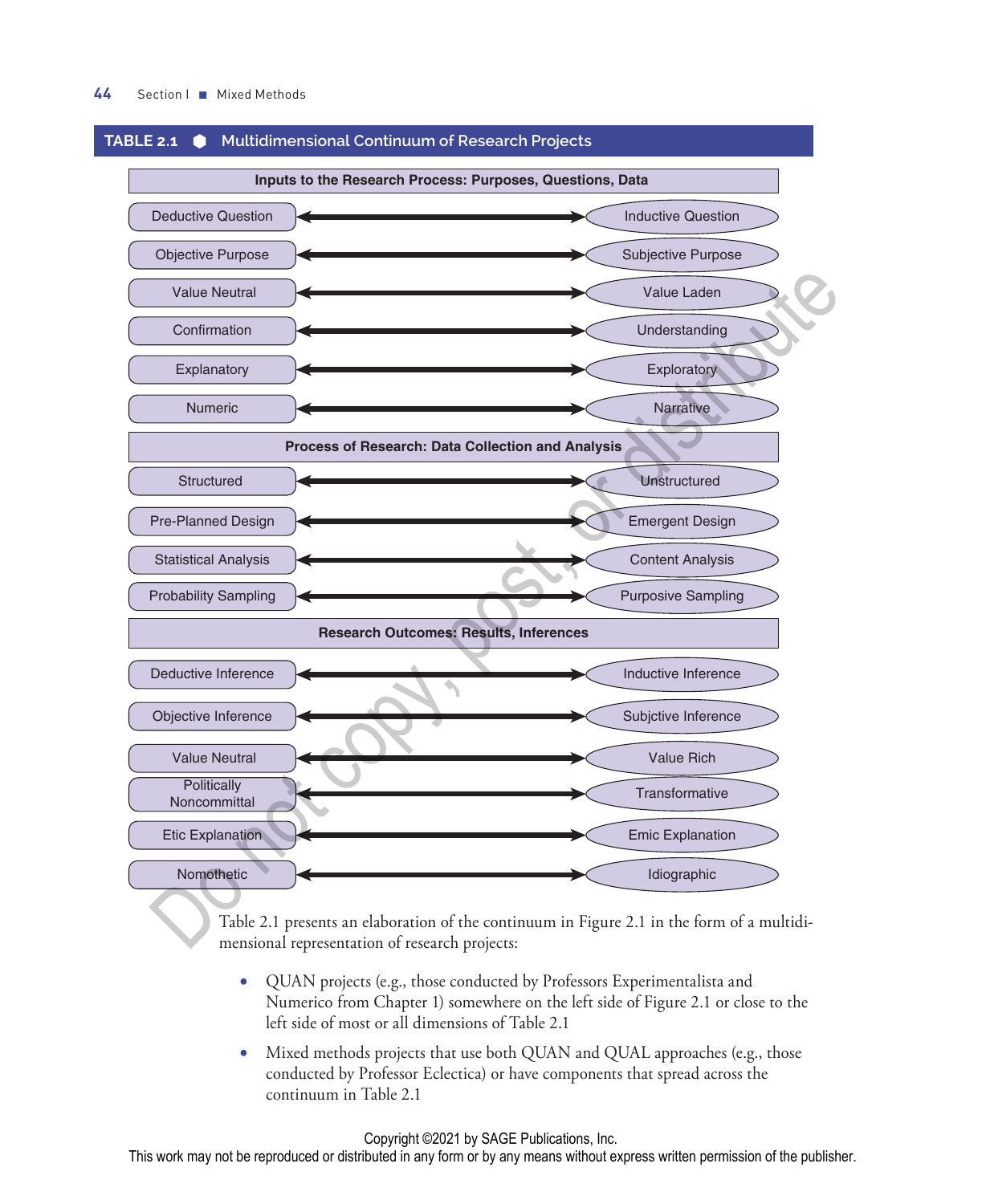

#### **TABLE 2.1 Multidimensional Continuum of Research Projects**

Table 2.1 presents an elaboration of the continuum in Figure 2.1 in the form of a multidimensional representation of research projects:

- QUAN projects (e.g., those conducted by Professors Experimentalista and Numerico from Chapter 1) somewhere on the left side of Figure 2.1 or close to the left side of most or all dimensions of Table 2.1
- Mixed methods projects that use both QUAN and QUAL approaches (e.g., those conducted by Professor Eclectica) or have components that spread across the continuum in Table 2.1

#### Copyright ©2021 by SAGE Publications, Inc.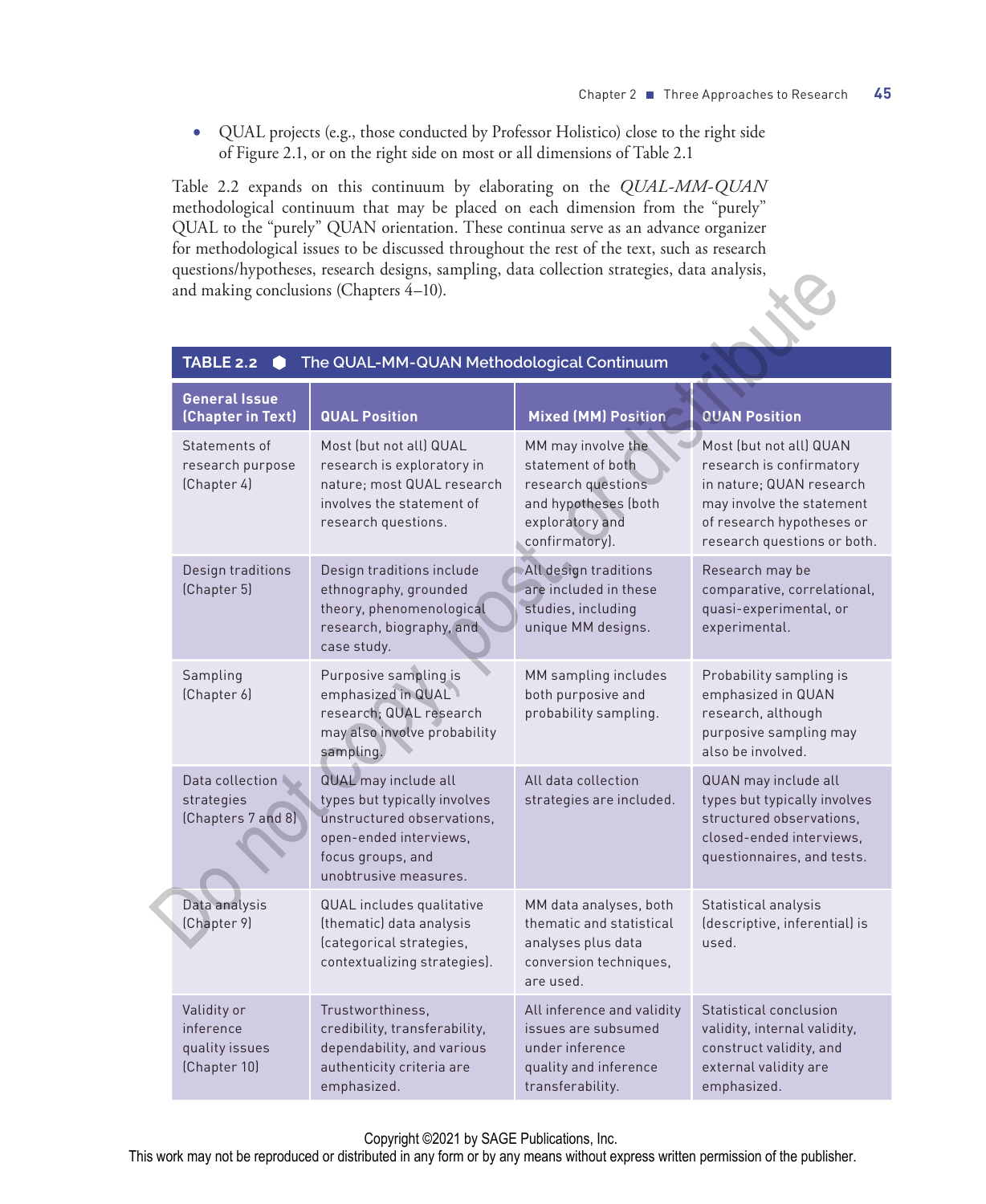• QUAL projects (e.g., those conducted by Professor Holistico) close to the right side of Figure 2.1, or on the right side on most or all dimensions of Table 2.1

Table 2.2 expands on this continuum by elaborating on the *QUAL-MM-QUAN*  methodological continuum that may be placed on each dimension from the "purely" QUAL to the "purely" QUAN orientation. These continua serve as an advance organizer for methodological issues to be discussed throughout the rest of the text, such as research questions/hypotheses, research designs, sampling, data collection strategies, data analysis, and making conclusions (Chapters 4–10).

|                                                                    | questions/nypotneses, research designs, sampling, data collection strategies, data analysis,<br>and making conclusions (Chapters 4-10).                    |                                                                                                                            |                                                                                                                                                                          |
|--------------------------------------------------------------------|------------------------------------------------------------------------------------------------------------------------------------------------------------|----------------------------------------------------------------------------------------------------------------------------|--------------------------------------------------------------------------------------------------------------------------------------------------------------------------|
| The QUAL-MM-QUAN Methodological Continuum<br><b>TABLE 2.2</b><br>0 |                                                                                                                                                            |                                                                                                                            |                                                                                                                                                                          |
| <b>General Issue</b><br>(Chapter in Text)                          | <b>QUAL Position</b>                                                                                                                                       | <b>Mixed (MM) Position</b>                                                                                                 | <b>QUAN Position</b>                                                                                                                                                     |
| Statements of<br>research purpose<br>(Chapter 4)                   | Most (but not all) QUAL<br>research is exploratory in<br>nature; most QUAL research<br>involves the statement of<br>research questions.                    | MM may involve the<br>statement of both<br>research questions<br>and hypotheses (both<br>exploratory and<br>confirmatory). | Most (but not all) QUAN<br>research is confirmatory<br>in nature; QUAN research<br>may involve the statement<br>of research hypotheses or<br>research questions or both. |
| Design traditions<br>(Chapter 5)                                   | Design traditions include<br>ethnography, grounded<br>theory, phenomenological<br>research, biography, and<br>case study.                                  | All design traditions<br>are included in these<br>studies, including<br>unique MM designs.                                 | Research may be<br>comparative, correlational,<br>quasi-experimental, or<br>experimental.                                                                                |
| Sampling<br>(Chapter 6)                                            | Purposive sampling is<br>emphasized in QUAL<br>research; QUAL research<br>may also involve probability<br>sampling.                                        | MM sampling includes<br>both purposive and<br>probability sampling.                                                        | Probability sampling is<br>emphasized in QUAN<br>research, although<br>purposive sampling may<br>also be involved.                                                       |
| Data collection<br>strategies<br>(Chapters 7 and 8)                | QUAL may include all<br>types but typically involves<br>unstructured observations,<br>open-ended interviews,<br>focus groups, and<br>unobtrusive measures. | All data collection<br>strategies are included.                                                                            | QUAN may include all<br>types but typically involves<br>structured observations,<br>closed-ended interviews.<br>questionnaires, and tests.                               |
| Data analysis<br>(Chapter 9)                                       | QUAL includes qualitative<br>(thematic) data analysis<br>(categorical strategies,<br>contextualizing strategies).                                          | MM data analyses, both<br>thematic and statistical<br>analyses plus data<br>conversion techniques,<br>are used.            | Statistical analysis<br>(descriptive, inferential) is<br>used.                                                                                                           |
| Validity or<br>inference<br>quality issues<br>(Chapter 10)         | Trustworthiness,<br>credibility, transferability,<br>dependability, and various<br>authenticity criteria are<br>emphasized.                                | All inference and validity<br>issues are subsumed<br>under inference<br>quality and inference<br>transferability.          | Statistical conclusion<br>validity, internal validity,<br>construct validity, and<br>external validity are<br>emphasized.                                                |

#### **TABLE 2.2 The QUAL-MM-QUAN Methodological Continuum**

Copyright ©2021 by SAGE Publications, Inc.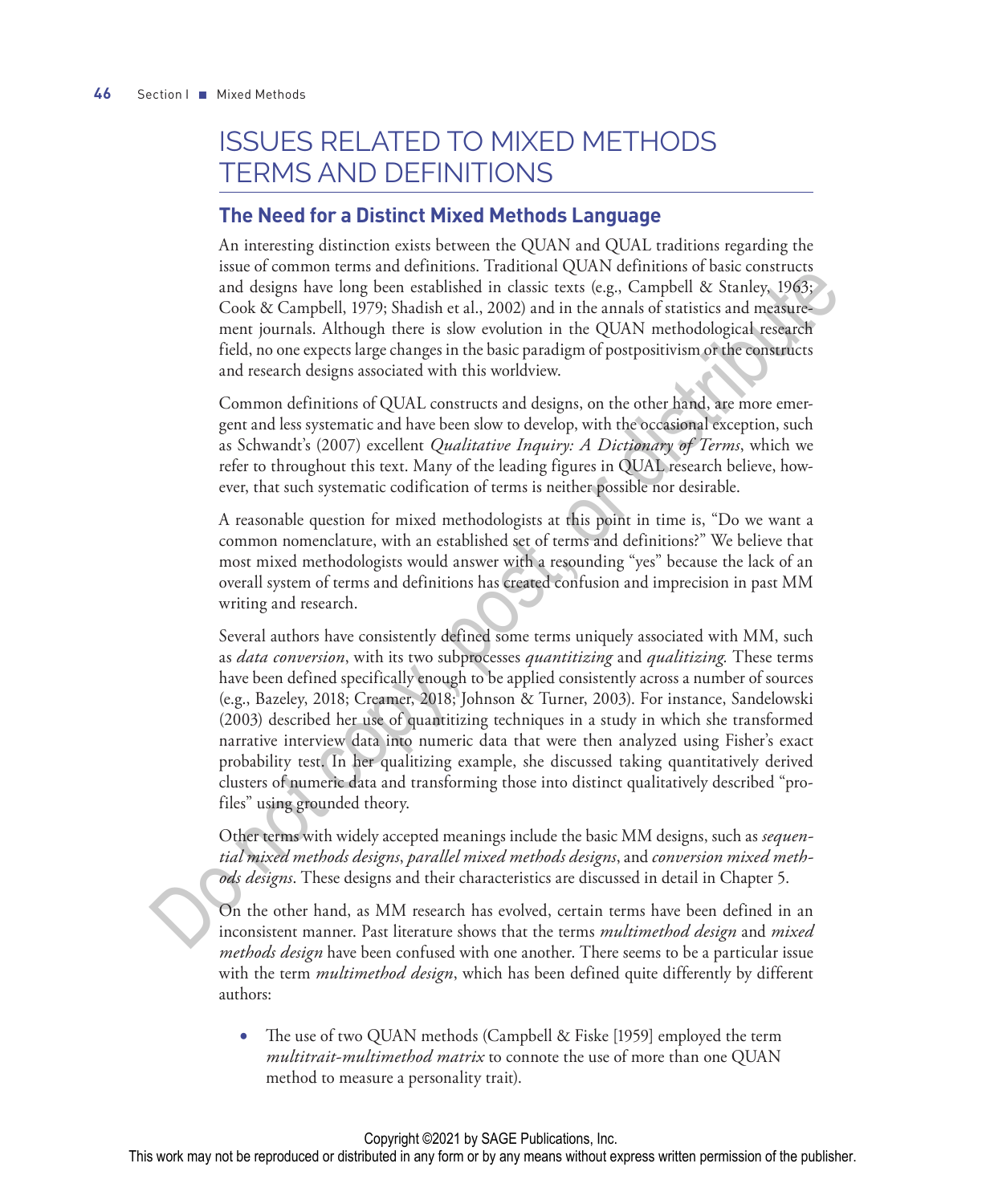## ISSUES RELATED TO MIXED METHODS TERMS AND DEFINITIONS

### **The Need for a Distinct Mixed Methods Language**

An interesting distinction exists between the QUAN and QUAL traditions regarding the issue of common terms and definitions. Traditional QUAN definitions of basic constructs and designs have long been established in classic texts (e.g., Campbell & Stanley, 1963; Cook & Campbell, 1979; Shadish et al., 2002) and in the annals of statistics and measurement journals. Although there is slow evolution in the QUAN methodological research field, no one expects large changes in the basic paradigm of postpositivism or the constructs and research designs associated with this worldview.

Common definitions of QUAL constructs and designs, on the other hand, are more emergent and less systematic and have been slow to develop, with the occasional exception, such as Schwandt's (2007) excellent *Qualitative Inquiry: A Dictionary of Terms*, which we refer to throughout this text. Many of the leading figures in QUAL research believe, however, that such systematic codification of terms is neither possible nor desirable.

A reasonable question for mixed methodologists at this point in time is, "Do we want a common nomenclature, with an established set of terms and definitions?" We believe that most mixed methodologists would answer with a resounding "yes" because the lack of an overall system of terms and definitions has created confusion and imprecision in past MM writing and research.

Several authors have consistently defined some terms uniquely associated with MM, such as *data conversion*, with its two subprocesses *quantitizing* and *qualitizing.* These terms have been defined specifically enough to be applied consistently across a number of sources (e.g., Bazeley, 2018; Creamer, 2018; Johnson & Turner, 2003). For instance, Sandelowski (2003) described her use of quantitizing techniques in a study in which she transformed narrative interview data into numeric data that were then analyzed using Fisher's exact probability test. In her qualitizing example, she discussed taking quantitatively derived clusters of numeric data and transforming those into distinct qualitatively described "profiles" using grounded theory. and to common anometric with an established and the state of the context of the context of copy, condition is reactly look  $\&$  context of complexity looks  $\&$  context of amplied), 1)  $\partial y$ . Shadish is at al. 2002) and i

Other terms with widely accepted meanings include the basic MM designs, such as *sequential mixed methods designs*, *parallel mixed methods designs*, and *conversion mixed methods designs*. These designs and their characteristics are discussed in detail in Chapter 5.

On the other hand, as MM research has evolved, certain terms have been defined in an inconsistent manner. Past literature shows that the terms *multimethod design* and *mixed methods design* have been confused with one another. There seems to be a particular issue with the term *multimethod design*, which has been defined quite differently by different authors:

• The use of two QUAN methods (Campbell & Fiske [1959] employed the term *multitrait-multimethod matrix* to connote the use of more than one QUAN method to measure a personality trait).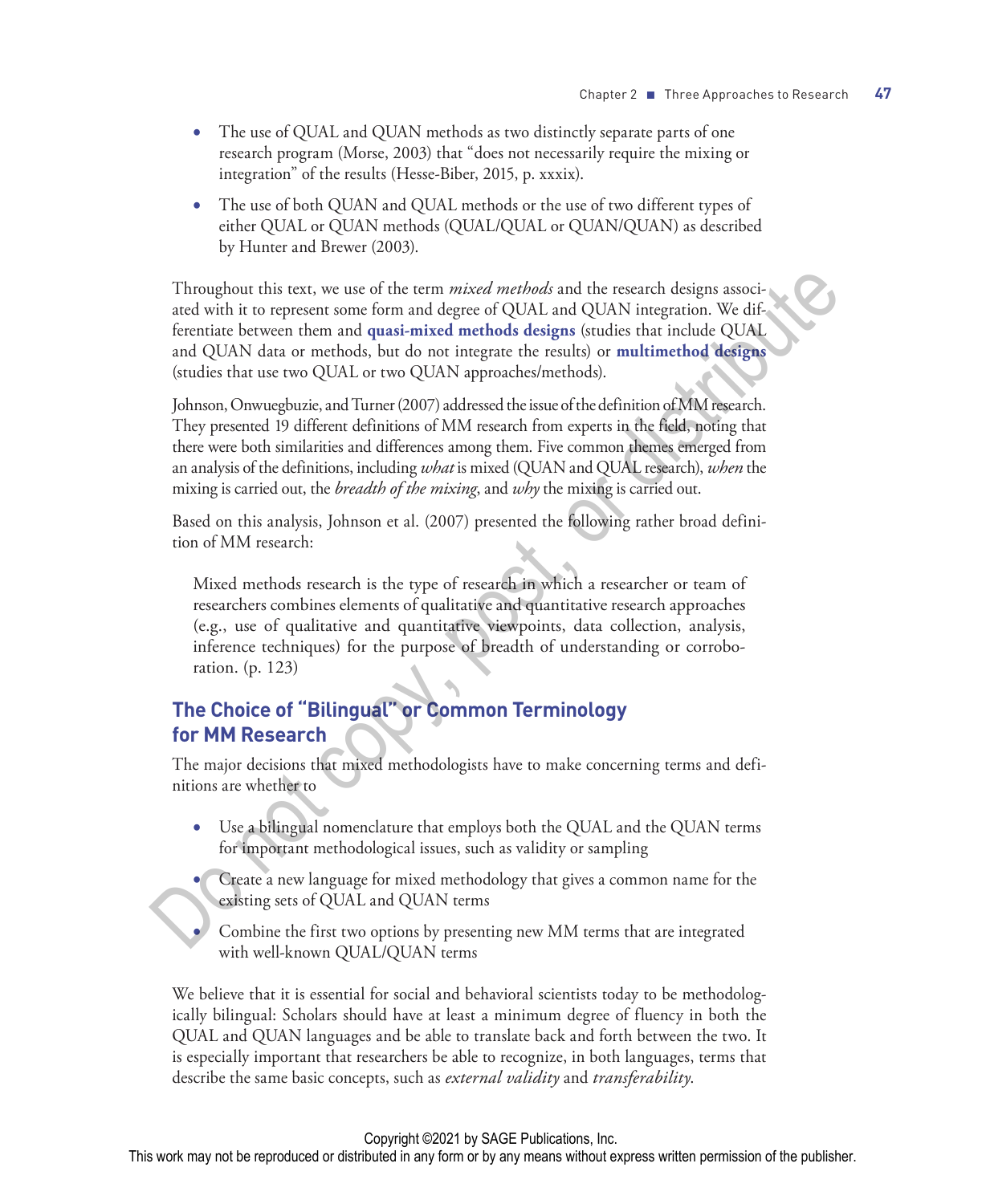- The use of QUAL and QUAN methods as two distinctly separate parts of one research program (Morse, 2003) that "does not necessarily require the mixing or integration" of the results (Hesse-Biber, 2015, p. xxxix).
- The use of both QUAN and QUAL methods or the use of two different types of either QUAL or QUAN methods (QUAL/QUAL or QUAN/QUAN) as described by Hunter and Brewer (2003).

Throughout this text, we use of the term *mixed methods* and the research designs associated with it to represent some form and degree of QUAL and QUAN integration. We differentiate between them and **quasi-mixed methods designs** (studies that include QUAL and QUAN data or methods, but do not integrate the results) or **multimethod designs** (studies that use two QUAL or two QUAN approaches/methods). Throughout this text, we use of the term mixed methods and the research designs associated with it to represent some form and degree of QUAL and QUAN integration. We differentiate between them and quasi-mixed methods desi

Johnson, Onwuegbuzie, and Turner (2007) addressed the issue of the definition of MM research. They presented 19 different definitions of MM research from experts in the field, noting that there were both similarities and differences among them. Five common themes emerged from an analysis of the definitions, including *what* is mixed (QUAN and QUAL research), *when* the mixing is carried out, the *breadth of the mixing*, and *why* the mixing is carried out.

Based on this analysis, Johnson et al. (2007) presented the following rather broad definition of MM research:

Mixed methods research is the type of research in which a researcher or team of researchers combines elements of qualitative and quantitative research approaches (e.g., use of qualitative and quantitative viewpoints, data collection, analysis, inference techniques) for the purpose of breadth of understanding or corroboration. (p. 123)

### **The Choice of "Bilingual" or Common Terminology for MM Research**

The major decisions that mixed methodologists have to make concerning terms and definitions are whether to

- Use a bilingual nomenclature that employs both the QUAL and the QUAN terms for important methodological issues, such as validity or sampling
	- Create a new language for mixed methodology that gives a common name for the existing sets of QUAL and QUAN terms
	- Combine the first two options by presenting new MM terms that are integrated with well-known QUAL/QUAN terms

We believe that it is essential for social and behavioral scientists today to be methodologically bilingual: Scholars should have at least a minimum degree of fluency in both the QUAL and QUAN languages and be able to translate back and forth between the two. It is especially important that researchers be able to recognize, in both languages, terms that describe the same basic concepts, such as *external validity* and *transferability*.

#### Copyright ©2021 by SAGE Publications, Inc.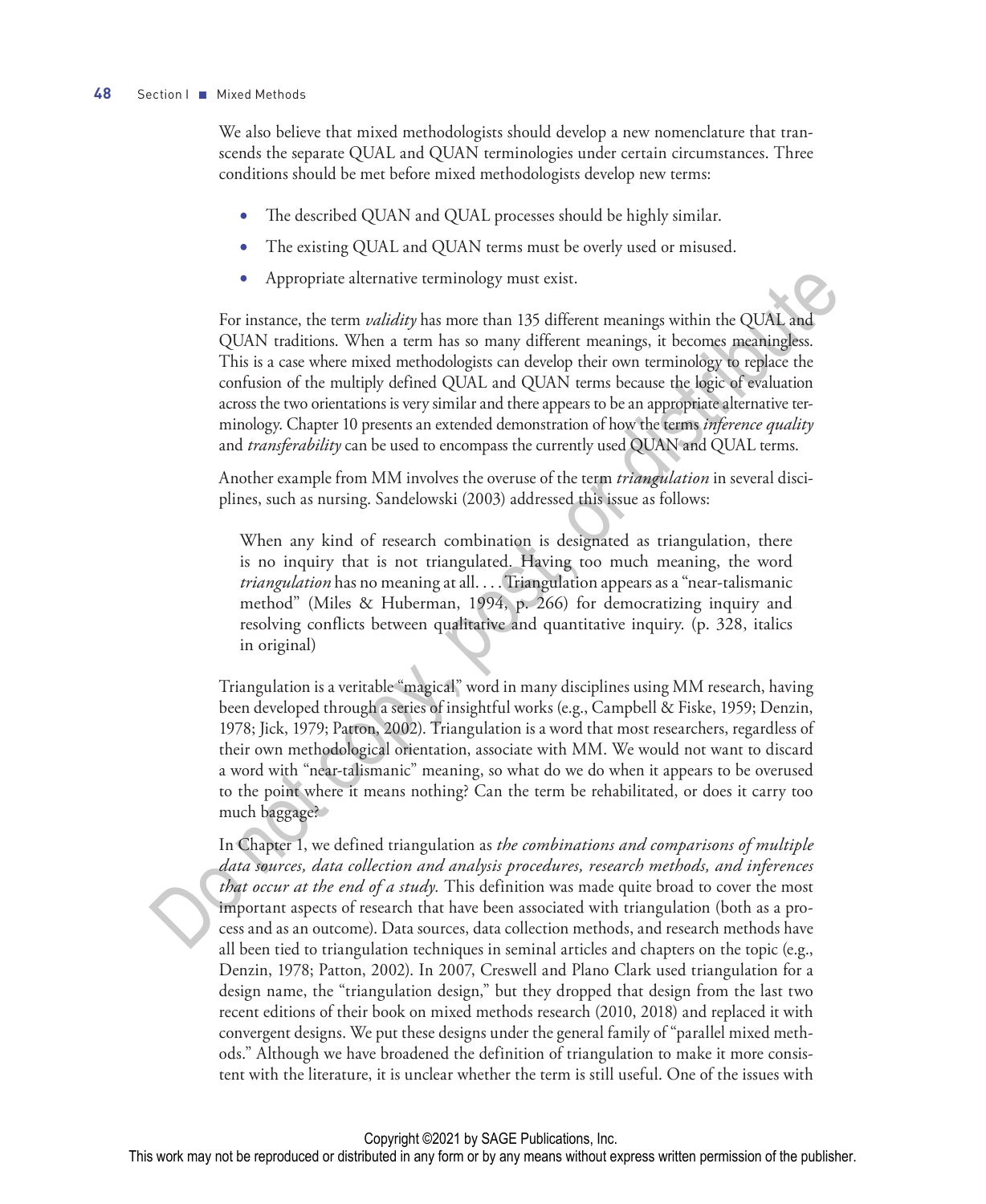#### **48** Section I ■ Mixed Methods

We also believe that mixed methodologists should develop a new nomenclature that transcends the separate QUAL and QUAN terminologies under certain circumstances. Three conditions should be met before mixed methodologists develop new terms:

- The described QUAN and QUAL processes should be highly similar.
- The existing QUAL and QUAN terms must be overly used or misused.
- Appropriate alternative terminology must exist.

For instance, the term *validity* has more than 135 different meanings within the QUAL and QUAN traditions. When a term has so many different meanings, it becomes meaningless. This is a case where mixed methodologists can develop their own terminology to replace the confusion of the multiply defined QUAL and QUAN terms because the logic of evaluation across the two orientations is very similar and there appears to be an appropriate alternative terminology. Chapter 10 presents an extended demonstration of how the terms *inference quality* and *transferability* can be used to encompass the currently used QUAN and QUAL terms. • Appropriate alternative terminology must exist.<br>For instance, the term *suliality* has more than 135 different meanings, it becomes an<br>equality of the control of the main and so many different meanings, it becomes an<br>eq

Another example from MM involves the overuse of the term *triangulation* in several disciplines, such as nursing. Sandelowski (2003) addressed this issue as follows:

When any kind of research combination is designated as triangulation, there is no inquiry that is not triangulated. Having too much meaning, the word *triangulation* has no meaning at all. . . . Triangulation appears as a "near-talismanic method" (Miles & Huberman, 1994, p. 266) for democratizing inquiry and resolving conflicts between qualitative and quantitative inquiry. (p. 328, italics in original)

Triangulation is a veritable "magical" word in many disciplines using MM research, having been developed through a series of insightful works (e.g., Campbell & Fiske, 1959; Denzin, 1978; Jick, 1979; Patton, 2002). Triangulation is a word that most researchers, regardless of their own methodological orientation, associate with MM. We would not want to discard a word with "near-talismanic" meaning, so what do we do when it appears to be overused to the point where it means nothing? Can the term be rehabilitated, or does it carry too much baggage?

In Chapter 1, we defined triangulation as *the combinations and comparisons of multiple data sources, data collection and analysis procedures, research methods, and inferences that occur at the end of a study.* This definition was made quite broad to cover the most important aspects of research that have been associated with triangulation (both as a process and as an outcome). Data sources, data collection methods, and research methods have all been tied to triangulation techniques in seminal articles and chapters on the topic (e.g., Denzin, 1978; Patton, 2002). In 2007, Creswell and Plano Clark used triangulation for a design name, the "triangulation design," but they dropped that design from the last two recent editions of their book on mixed methods research (2010, 2018) and replaced it with convergent designs. We put these designs under the general family of "parallel mixed methods." Although we have broadened the definition of triangulation to make it more consistent with the literature, it is unclear whether the term is still useful. One of the issues with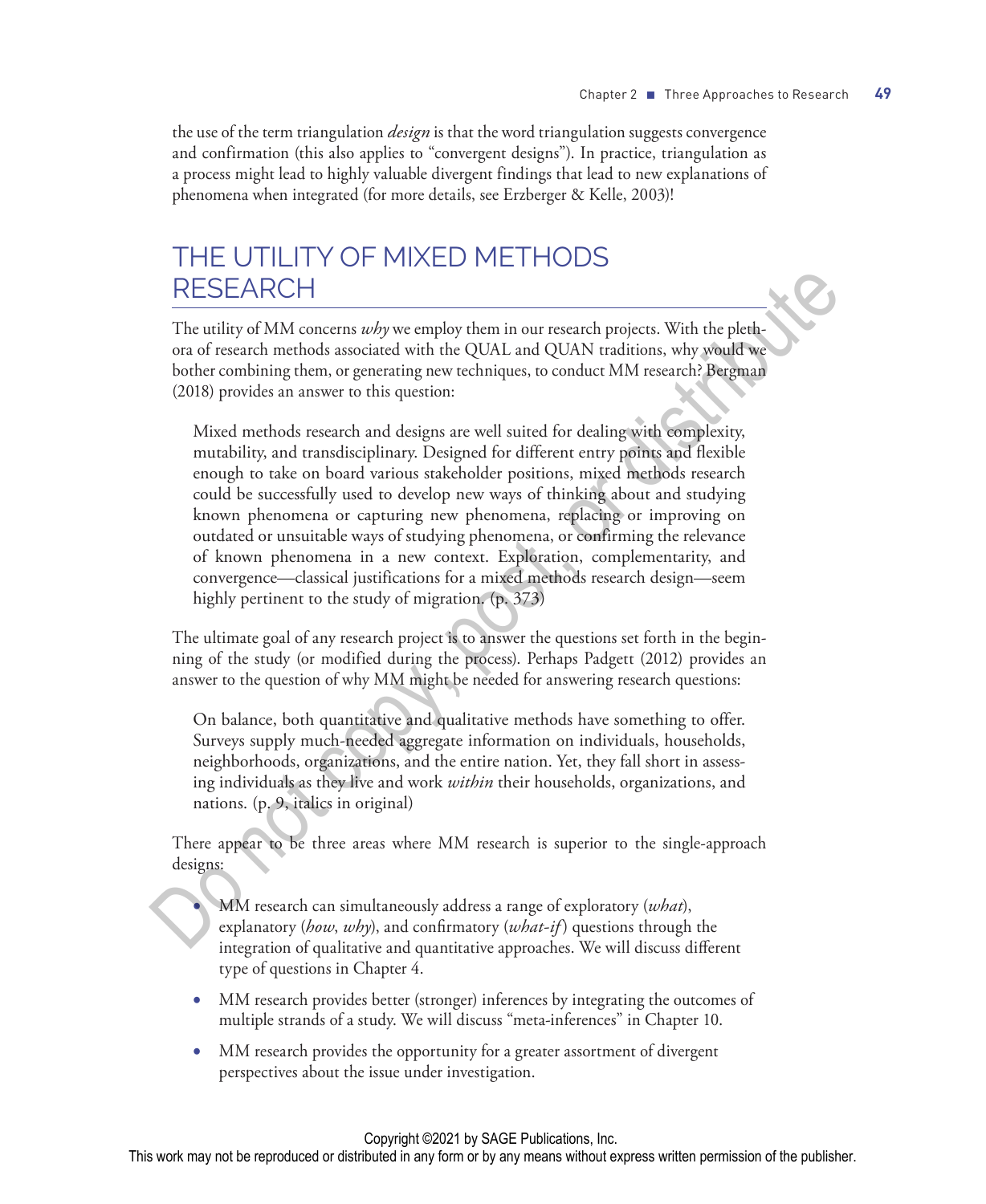the use of the term triangulation *design* is that the word triangulation suggests convergence and confirmation (this also applies to "convergent designs"). In practice, triangulation as a process might lead to highly valuable divergent findings that lead to new explanations of phenomena when integrated (for more details, see Erzberger & Kelle, 2003)!

## THE UTILITY OF MIXED METHODS RESEARCH

The utility of MM concerns *why* we employ them in our research projects. With the plethora of research methods associated with the QUAL and QUAN traditions, why would we bother combining them, or generating new techniques, to conduct MM research? Bergman (2018) provides an answer to this question:

Mixed methods research and designs are well suited for dealing with complexity, mutability, and transdisciplinary. Designed for different entry points and flexible enough to take on board various stakeholder positions, mixed methods research could be successfully used to develop new ways of thinking about and studying known phenomena or capturing new phenomena, replacing or improving on outdated or unsuitable ways of studying phenomena, or confirming the relevance of known phenomena in a new context. Exploration, complementarity, and convergence—classical justifications for a mixed methods research design—seem highly pertinent to the study of migration. (p. 373) RESEARCH<br>
The utility of MM concerns *why* we employ them in our research projects. With the plettion<br>
on of research methods associated with the QUAL and QUAN traditions, why would we<br>
obter combining them, or generating

The ultimate goal of any research project is to answer the questions set forth in the beginning of the study (or modified during the process). Perhaps Padgett (2012) provides an answer to the question of why MM might be needed for answering research questions:

On balance, both quantitative and qualitative methods have something to offer. Surveys supply much-needed aggregate information on individuals, households, neighborhoods, organizations, and the entire nation. Yet, they fall short in assessing individuals as they live and work *within* their households, organizations, and nations. (p. 9, italics in original)

There appear to be three areas where MM research is superior to the single-approach designs:

• MM research can simultaneously address a range of exploratory (*what*), explanatory (*how*, *why*), and confirmatory (*what-if* ) questions through the integration of qualitative and quantitative approaches. We will discuss different type of questions in Chapter 4.

- MM research provides better (stronger) inferences by integrating the outcomes of multiple strands of a study. We will discuss "meta-inferences" in Chapter 10.
- MM research provides the opportunity for a greater assortment of divergent perspectives about the issue under investigation.

#### Copyright ©2021 by SAGE Publications, Inc.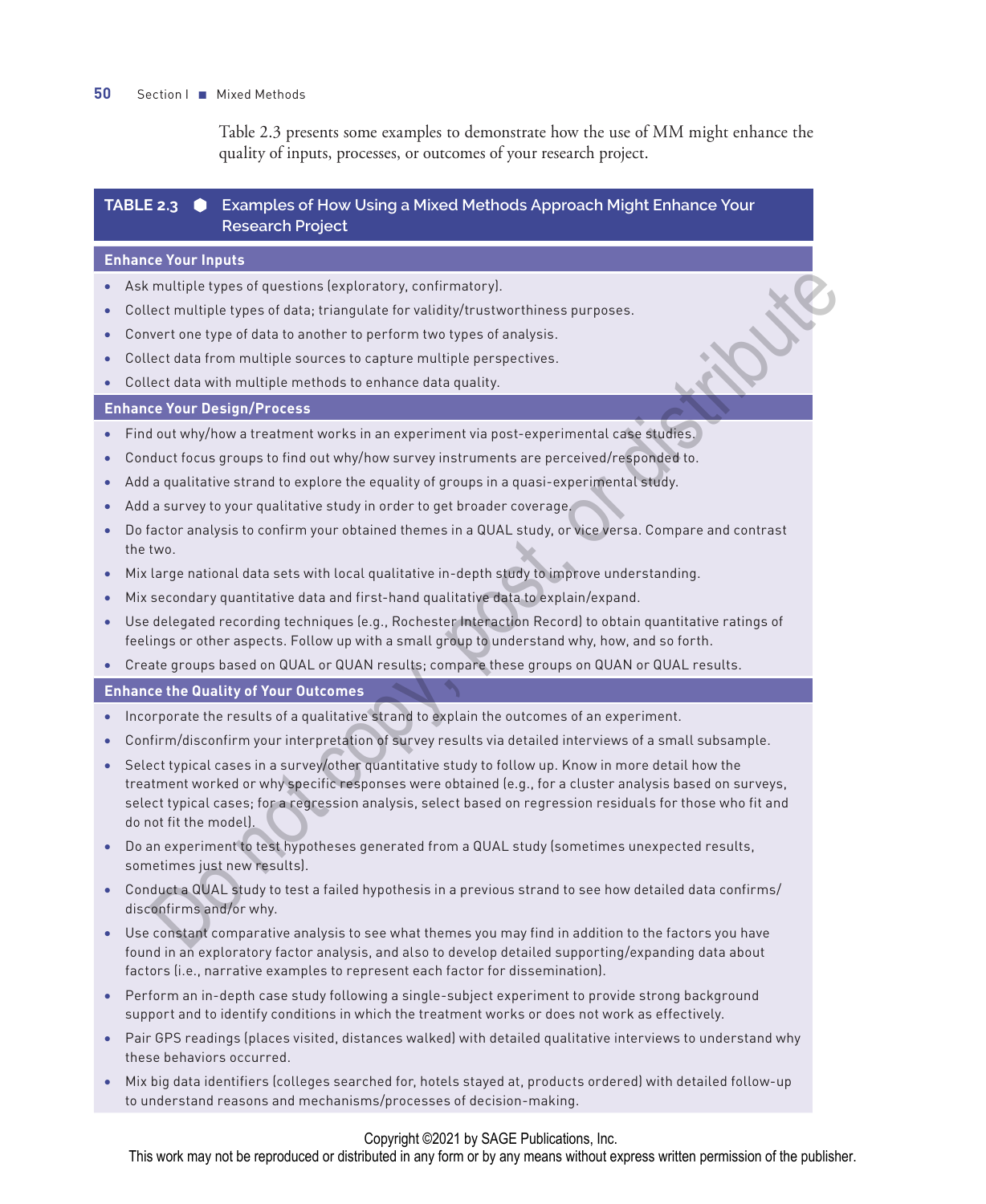#### **50** Section I ■ Mixed Methods

Table 2.3 presents some examples to demonstrate how the use of MM might enhance the quality of inputs, processes, or outcomes of your research project.

#### **TABLE 2.3 Examples of How Using a Mixed Methods Approach Might Enhance Your Research Project**

#### **Enhance Your Inputs**

- Ask multiple types of questions (exploratory, confirmatory).
- Collect multiple types of data; triangulate for validity/trustworthiness purposes.
- Convert one type of data to another to perform two types of analysis.
- Collect data from multiple sources to capture multiple perspectives.
- Collect data with multiple methods to enhance data quality.

#### **Enhance Your Design/Process**

- Find out why/how a treatment works in an experiment via post-experimental case studies.
- Conduct focus groups to find out why/how survey instruments are perceived/responded to.
- Add a qualitative strand to explore the equality of groups in a quasi-experimental study.
- Add a survey to your qualitative study in order to get broader coverage.
- Do factor analysis to confirm your obtained themes in a QUAL study, or vice versa. Compare and contrast the two.
- Mix large national data sets with local qualitative in-depth study to improve understanding.
- Mix secondary quantitative data and first-hand qualitative data to explain/expand.
- Use delegated recording techniques (e.g., Rochester Interaction Record) to obtain quantitative ratings of feelings or other aspects. Follow up with a small group to understand why, how, and so forth.
- Create groups based on QUAL or QUAN results; compare these groups on QUAN or QUAL results.

**Enhance the Quality of Your Outcomes**

- Incorporate the results of a qualitative strand to explain the outcomes of an experiment.
- Confirm/disconfirm your interpretation of survey results via detailed interviews of a small subsample.
- Select typical cases in a survey/other quantitative study to follow up. Know in more detail how the treatment worked or why specific responses were obtained (e.g., for a cluster analysis based on surveys, select typical cases; for a regression analysis, select based on regression residuals for those who fit and do not fit the model). multiple types of questions [exploratory, confirmatory].<br>
Set multiple types of data it inapulate for validay/trustworthiness purposes.<br>
Set of only go of data to another to perform two types of analysis.<br>
Set of data from
- Do an experiment to test hypotheses generated from a QUAL study (sometimes unexpected results, sometimes just new results).
- Conduct a QUAL study to test a failed hypothesis in a previous strand to see how detailed data confirms/ disconfirms and/or why.
- Use constant comparative analysis to see what themes you may find in addition to the factors you have found in an exploratory factor analysis, and also to develop detailed supporting/expanding data about factors (i.e., narrative examples to represent each factor for dissemination).
- Perform an in-depth case study following a single-subject experiment to provide strong background support and to identify conditions in which the treatment works or does not work as effectively.
- Pair GPS readings (places visited, distances walked) with detailed qualitative interviews to understand why these behaviors occurred.
- Mix big data identifiers (colleges searched for, hotels stayed at, products ordered) with detailed follow-up to understand reasons and mechanisms/processes of decision-making.

#### Copyright ©2021 by SAGE Publications, Inc.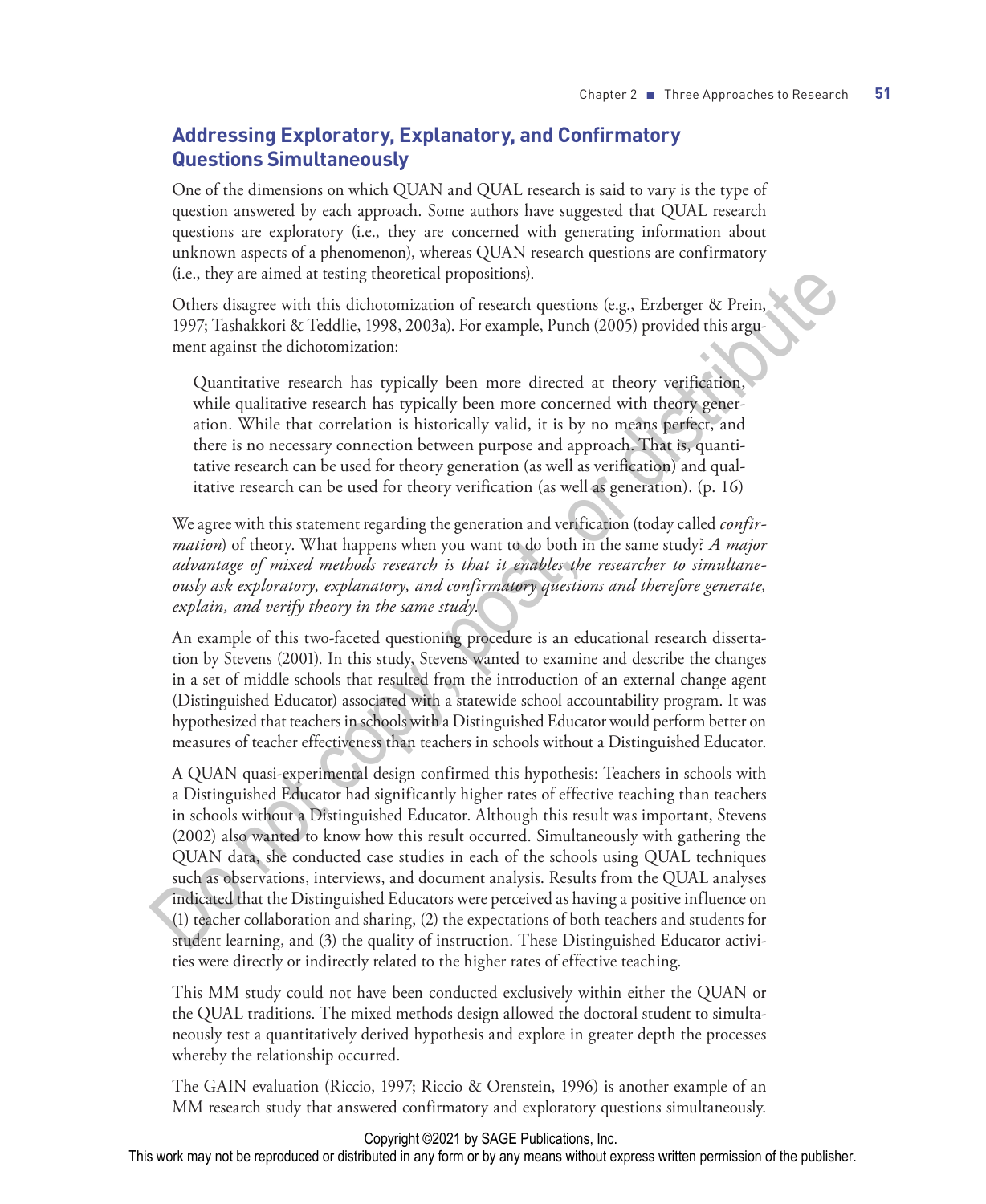### **Addressing Exploratory, Explanatory, and Confirmatory Questions Simultaneously**

One of the dimensions on which QUAN and QUAL research is said to vary is the type of question answered by each approach. Some authors have suggested that QUAL research questions are exploratory (i.e., they are concerned with generating information about unknown aspects of a phenomenon), whereas QUAN research questions are confirmatory (i.e., they are aimed at testing theoretical propositions).

Others disagree with this dichotomization of research questions (e.g., Erzberger & Prein, 1997; Tashakkori & Teddlie, 1998, 2003a). For example, Punch (2005) provided this argument against the dichotomization:

Quantitative research has typically been more directed at theory verification, while qualitative research has typically been more concerned with theory generation. While that correlation is historically valid, it is by no means perfect, and there is no necessary connection between purpose and approach. That is, quantitative research can be used for theory generation (as well as verification) and qualitative research can be used for theory verification (as well as generation). (p. 16)

We agree with this statement regarding the generation and verification (today called *confirmation*) of theory. What happens when you want to do both in the same study? *A major advantage of mixed methods research is that it enables the researcher to simultaneously ask exploratory, explanatory, and confirmatory questions and therefore generate, explain, and verify theory in the same study.*

An example of this two-faceted questioning procedure is an educational research dissertation by Stevens (2001). In this study, Stevens wanted to examine and describe the changes in a set of middle schools that resulted from the introduction of an external change agent (Distinguished Educator) associated with a statewide school accountability program. It was hypothesized that teachers in schools with a Distinguished Educator would perform better on measures of teacher effectiveness than teachers in schools without a Distinguished Educator.

A QUAN quasi-experimental design confirmed this hypothesis: Teachers in schools with a Distinguished Educator had significantly higher rates of effective teaching than teachers in schools without a Distinguished Educator. Although this result was important, Stevens (2002) also wanted to know how this result occurred. Simultaneously with gathering the QUAN data, she conducted case studies in each of the schools using QUAL techniques such as observations, interviews, and document analysis. Results from the QUAL analyses indicated that the Distinguished Educators were perceived as having a positive influence on (1) teacher collaboration and sharing, (2) the expectations of both teachers and students for student learning, and (3) the quality of instruction. These Distinguished Educator activities were directly or indirectly related to the higher rates of effective teaching. (i.e., they are aimed at testing theoretical propositions).<br>
Orbrs disguence with this dichotomization of research questions (e.g., Erzberger & Prein,<br>
Orbrs disguence with the dichotomization:<br>
Quantitative research has

This MM study could not have been conducted exclusively within either the QUAN or the QUAL traditions. The mixed methods design allowed the doctoral student to simultaneously test a quantitatively derived hypothesis and explore in greater depth the processes whereby the relationship occurred.

The GAIN evaluation (Riccio, 1997; Riccio & Orenstein, 1996) is another example of an MM research study that answered confirmatory and exploratory questions simultaneously.

#### Copyright ©2021 by SAGE Publications, Inc.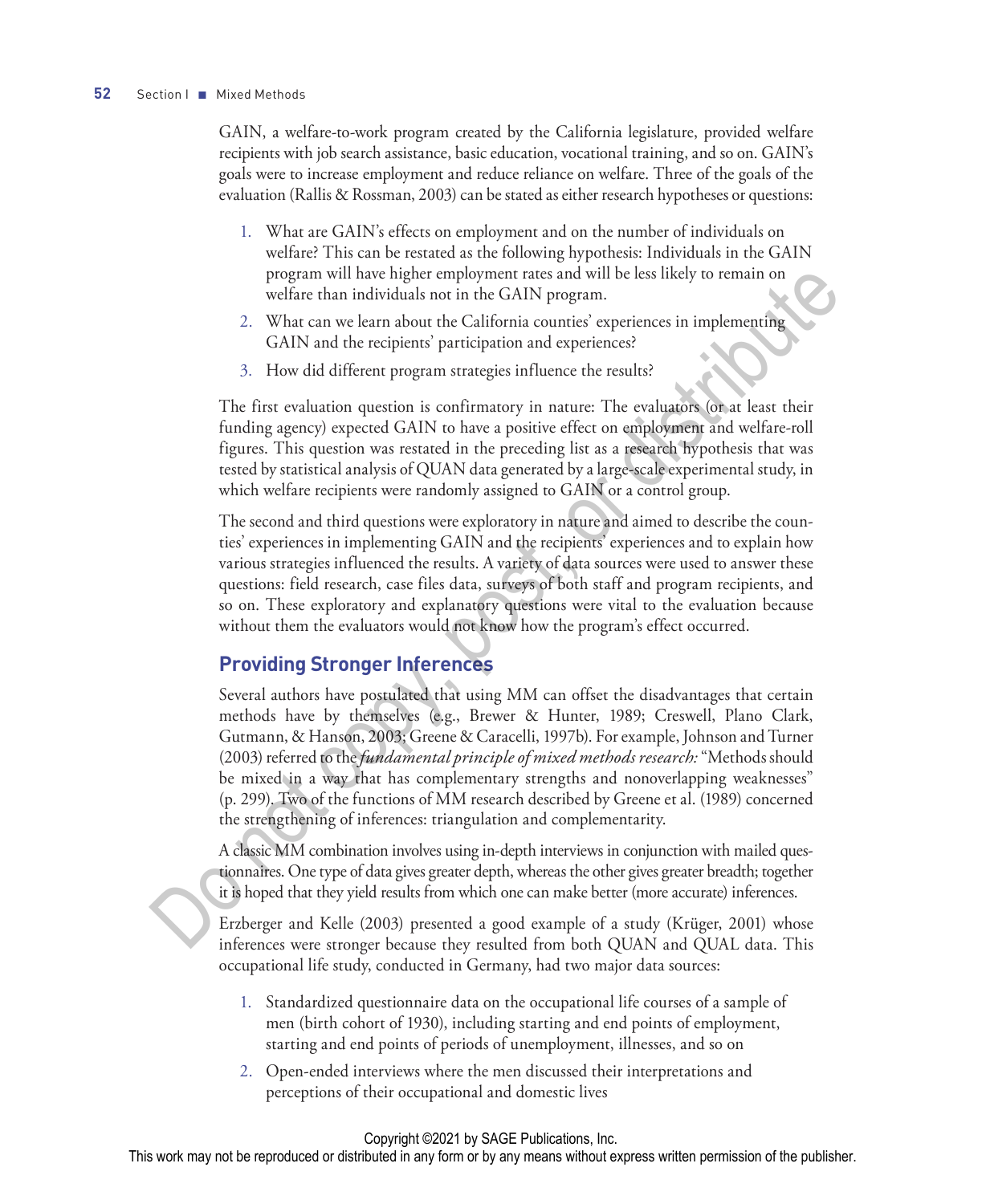GAIN, a welfare-to-work program created by the California legislature, provided welfare recipients with job search assistance, basic education, vocational training, and so on. GAIN's goals were to increase employment and reduce reliance on welfare. Three of the goals of the evaluation (Rallis & Rossman, 2003) can be stated as either research hypotheses or questions:

- 1. What are GAIN's effects on employment and on the number of individuals on welfare? This can be restated as the following hypothesis: Individuals in the GAIN program will have higher employment rates and will be less likely to remain on welfare than individuals not in the GAIN program.
- 2. What can we learn about the California counties' experiences in implementing GAIN and the recipients' participation and experiences?
- 3. How did different program strategies influence the results?

The first evaluation question is confirmatory in nature: The evaluators (or at least their funding agency) expected GAIN to have a positive effect on employment and welfare-roll figures. This question was restated in the preceding list as a research hypothesis that was tested by statistical analysis of QUAN data generated by a large-scale experimental study, in which welfare recipients were randomly assigned to GAIN or a control group.

The second and third questions were exploratory in nature and aimed to describe the counties' experiences in implementing GAIN and the recipients' experiences and to explain how various strategies influenced the results. A variety of data sources were used to answer these questions: field research, case files data, surveys of both staff and program recipients, and so on. These exploratory and explanatory questions were vital to the evaluation because without them the evaluators would not know how the program's effect occurred.

### **Providing Stronger Inferences**

Several authors have postulated that using MM can offset the disadvantages that certain methods have by themselves (e.g., Brewer & Hunter, 1989; Creswell, Plano Clark, Gutmann, & Hanson, 2003; Greene & Caracelli, 1997b). For example, Johnson and Turner (2003) referred to the *fundamental principle of mixed methods research:* "Methods should be mixed in a way that has complementary strengths and nonoverlapping weaknesses" (p. 299). Two of the functions of MM research described by Greene et al. (1989) concerned the strengthening of inferences: triangulation and complementarity. program will three by the rest of the column rate and with beat since the state of the state of the state of the state of the state of the state of the state of the state of the state of the state of the state of the state

A classic MM combination involves using in-depth interviews in conjunction with mailed questionnaires. One type of data gives greater depth, whereas the other gives greater breadth; together it is hoped that they yield results from which one can make better (more accurate) inferences.

Erzberger and Kelle (2003) presented a good example of a study (Krüger, 2001) whose inferences were stronger because they resulted from both QUAN and QUAL data. This occupational life study, conducted in Germany, had two major data sources:

- 1. Standardized questionnaire data on the occupational life courses of a sample of men (birth cohort of 1930), including starting and end points of employment, starting and end points of periods of unemployment, illnesses, and so on
- 2. Open-ended interviews where the men discussed their interpretations and perceptions of their occupational and domestic lives

#### Copyright ©2021 by SAGE Publications, Inc.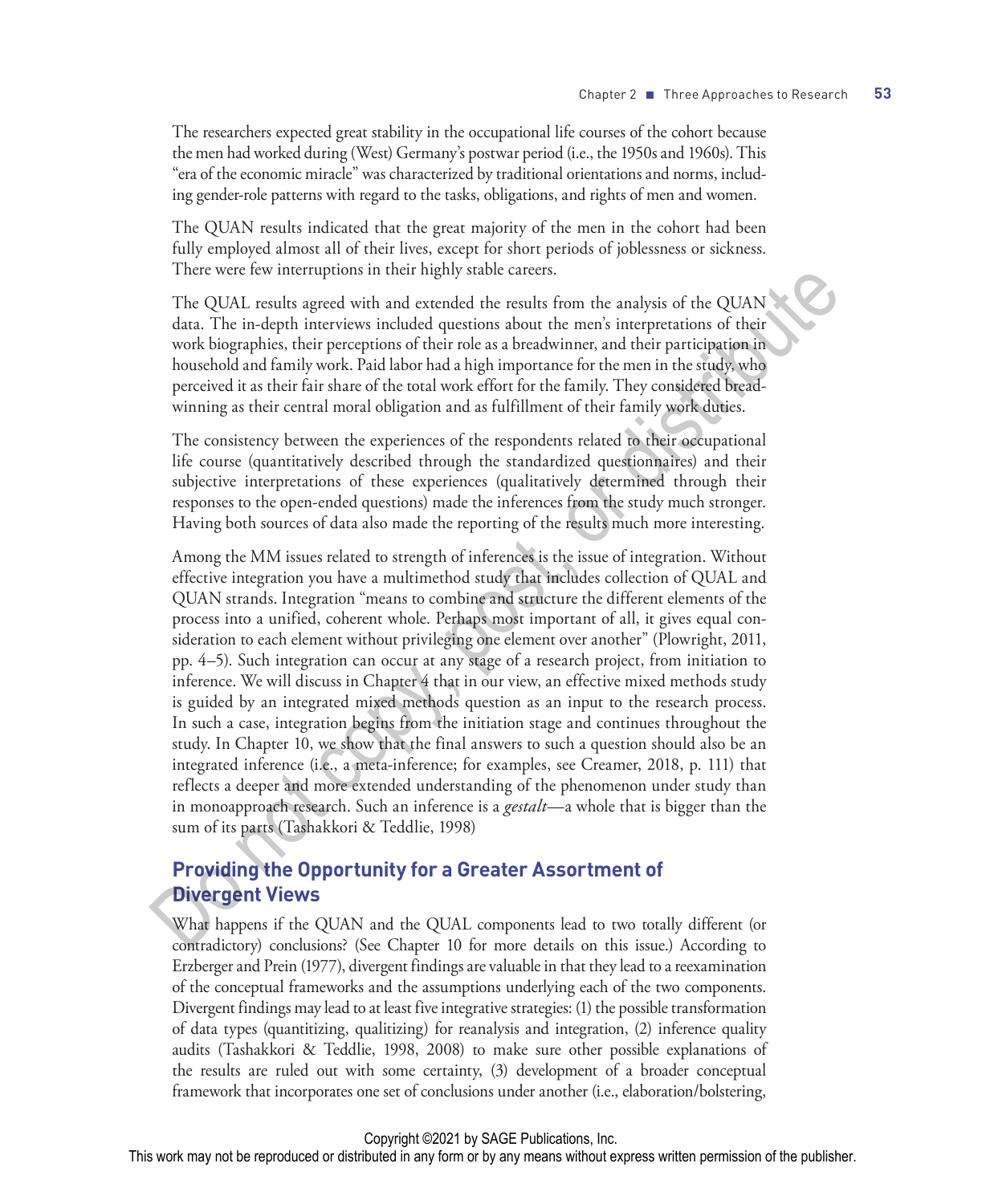The researchers expected great stability in the occupational life courses of the cohort because the men had worked during (West) Germany's postwar period (i.e., the 1950s and 1960s). This "era of the economic miracle" was characterized by traditional orientations and norms, including gender-role patterns with regard to the tasks, obligations, and rights of men and women.

The QUAN results indicated that the great majority of the men in the cohort had been fully employed almost all of their lives, except for short periods of joblessness or sickness. There were few interruptions in their highly stable careers.

The QUAL results agreed with and extended the results from the analysis of the QUAN data. The in-depth interviews included questions about the men's interpretations of their work biographies, their perceptions of their role as a breadwinner, and their participation in household and family work. Paid labor had a high importance for the men in the study, who perceived it as their fair share of the total work effort for the family. They considered breadwinning as their central moral obligation and as fulfillment of their family work duties.

The consistency between the experiences of the respondents related to their occupational life course (quantitatively described through the standardized questionnaires) and their subjective interpretations of these experiences (qualitatively determined through their responses to the open-ended questions) made the inferences from the study much stronger. Having both sources of data also made the reporting of the results much more interesting.

Among the MM issues related to strength of inferences is the issue of integration. Without effective integration you have a multimethod study that includes collection of QUAL and QUAN strands. Integration "means to combine and structure the different elements of the process into a unified, coherent whole. Perhaps most important of all, it gives equal consideration to each element without privileging one element over another" (Plowright, 2011, pp. 4–5). Such integration can occur at any stage of a research project, from initiation to inference. We will discuss in Chapter 4 that in our view, an effective mixed methods study is guided by an integrated mixed methods question as an input to the research process. In such a case, integration begins from the initiation stage and continues throughout the study. In Chapter 10, we show that the final answers to such a question should also be an integrated inference (i.e., a meta-inference; for examples, see Creamer, 2018, p. 111) that reflects a deeper and more extended understanding of the phenomenon under study than in monoapproach research. Such an inference is a *gestalt*—a whole that is bigger than the sum of its parts (Tashakkori & Teddlie, 1998) The QUAL reading mindled the reading matrix and extreme.<br>The QUAN The QUAN data. The in-depth interviews included questions solut the men's interpretations of their<br>verb data. The in-depth interviews included questions so

### **Providing the Opportunity for a Greater Assortment of Divergent Views**

What happens if the QUAN and the QUAL components lead to two totally different (or contradictory) conclusions? (See Chapter 10 for more details on this issue.) According to Erzberger and Prein (1977), divergent findings are valuable in that they lead to a reexamination of the conceptual frameworks and the assumptions underlying each of the two components. Divergent findings may lead to at least five integrative strategies: (1) the possible transformation of data types (quantitizing, qualitizing) for reanalysis and integration, (2) inference quality audits (Tashakkori & Teddlie, 1998, 2008) to make sure other possible explanations of the results are ruled out with some certainty, (3) development of a broader conceptual framework that incorporates one set of conclusions under another (i.e., elaboration/bolstering,

#### Copyright ©2021 by SAGE Publications, Inc.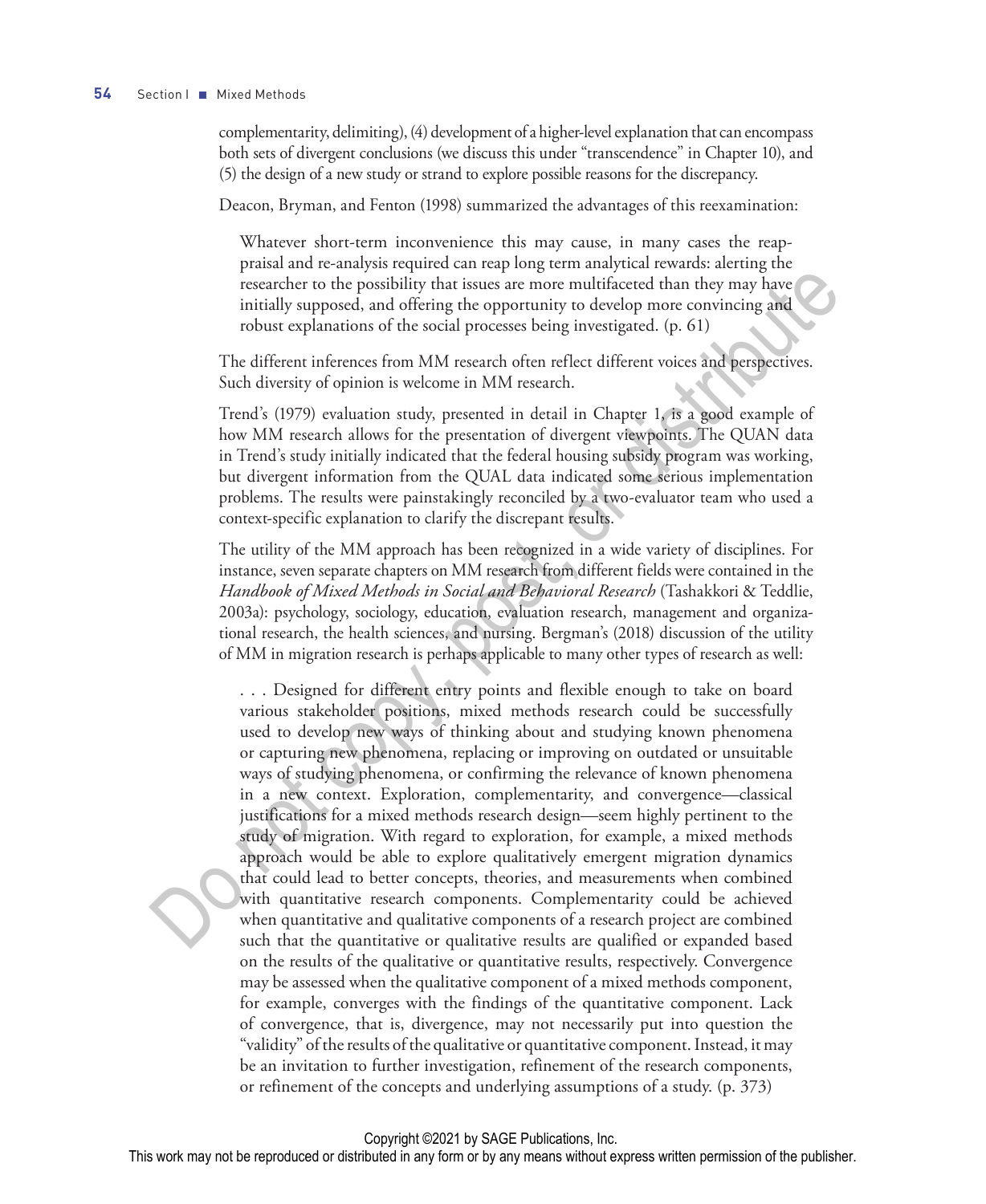#### **54** Section I ■ Mixed Methods

complementarity, delimiting), (4) development of a higher-level explanation that can encompass both sets of divergent conclusions (we discuss this under "transcendence" in Chapter 10), and (5) the design of a new study or strand to explore possible reasons for the discrepancy.

Deacon, Bryman, and Fenton (1998) summarized the advantages of this reexamination:

Whatever short-term inconvenience this may cause, in many cases the reappraisal and re-analysis required can reap long term analytical rewards: alerting the researcher to the possibility that issues are more multifaceted than they may have initially supposed, and offering the opportunity to develop more convincing and robust explanations of the social processes being investigated. (p. 61)

The different inferences from MM research often reflect different voices and perspectives. Such diversity of opinion is welcome in MM research.

Trend's (1979) evaluation study, presented in detail in Chapter 1, is a good example of how MM research allows for the presentation of divergent viewpoints. The QUAN data in Trend's study initially indicated that the federal housing subsidy program was working, but divergent information from the QUAL data indicated some serious implementation problems. The results were painstakingly reconciled by a two-evaluator team who used a context-specific explanation to clarify the discrepant results.

The utility of the MM approach has been recognized in a wide variety of disciplines. For instance, seven separate chapters on MM research from different fields were contained in the *Handbook of Mixed Methods in Social and Behavioral Research* (Tashakkori & Teddlie, 2003a): psychology, sociology, education, evaluation research, management and organizational research, the health sciences, and nursing. Bergman's (2018) discussion of the utility of MM in migration research is perhaps applicable to many other types of research as well:

. . . Designed for different entry points and flexible enough to take on board various stakeholder positions, mixed methods research could be successfully used to develop new ways of thinking about and studying known phenomena or capturing new phenomena, replacing or improving on outdated or unsuitable ways of studying phenomena, or confirming the relevance of known phenomena in a new context. Exploration, complementarity, and convergence—classical justifications for a mixed methods research design—seem highly pertinent to the study of migration. With regard to exploration, for example, a mixed methods approach would be able to explore qualitatively emergent migration dynamics that could lead to better concepts, theories, and measurements when combined with quantitative research components. Complementarity could be achieved when quantitative and qualitative components of a research project are combined such that the quantitative or qualitative results are qualified or expanded based on the results of the qualitative or quantitative results, respectively. Convergence may be assessed when the qualitative component of a mixed methods component, for example, converges with the findings of the quantitative component. Lack of convergence, that is, divergence, may not necessarily put into question the "validity" of the results of the qualitative or quantitative component. Instead, it may be an invitation to further investigation, refinement of the research components, or refinement of the concepts and underlying assumptions of a study. (p. 373) researcher to the possibility that issues are more multifacered than they may have<br>initially supposed, and offering the opportunity to develop more convincing and<br>middly supposed, and offering the opportunity to develop m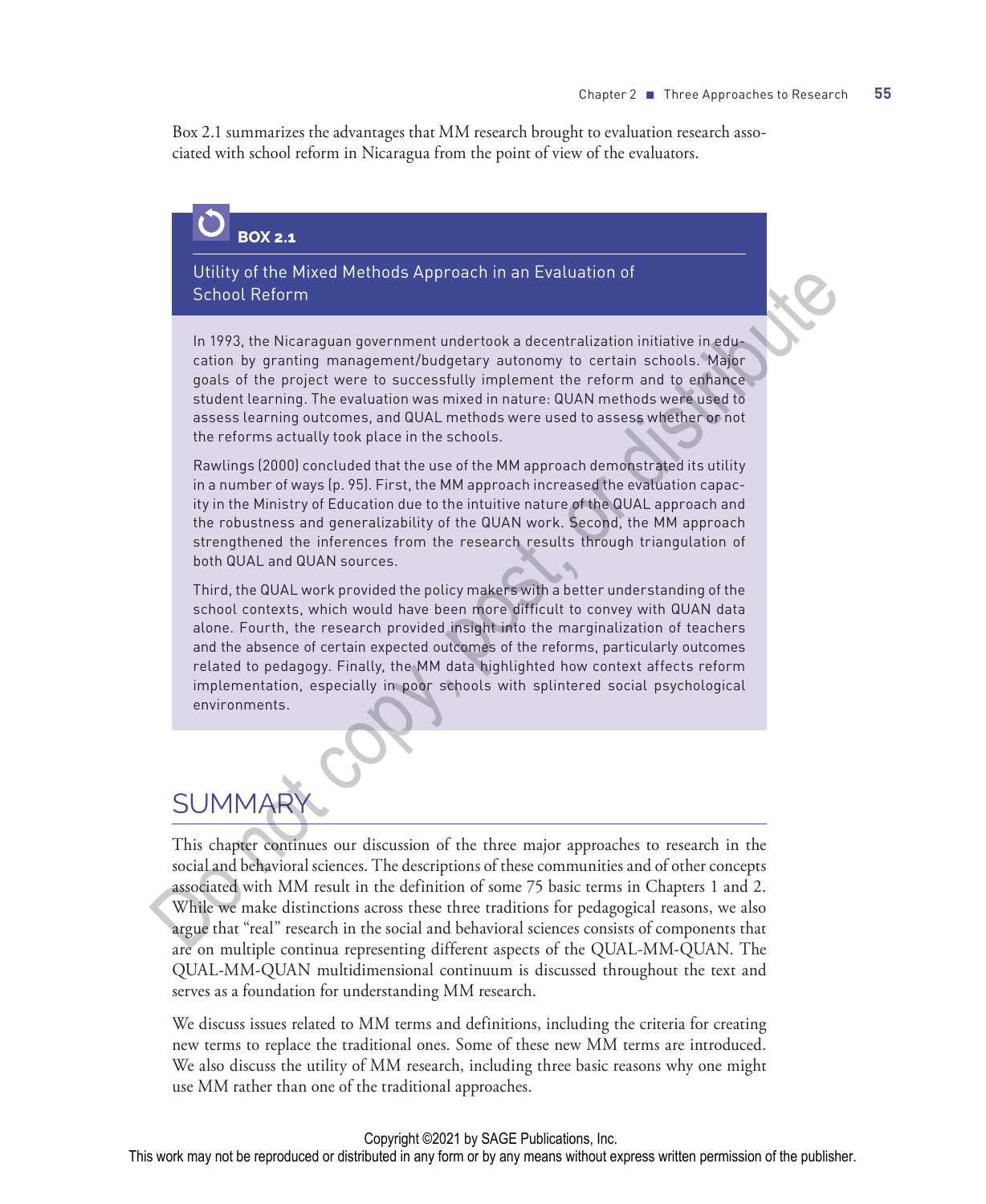Box 2.1 summarizes the advantages that MM research brought to evaluation research associated with school reform in Nicaragua from the point of view of the evaluators.

## **BOX 2.1**

Utility of the Mixed Methods Approach in an Evaluation of School Reform

In 1993, the Nicaraguan government undertook a decentralization initiative in education by granting management/budgetary autonomy to certain schools. Major goals of the project were to successfully implement the reform and to enhance student learning. The evaluation was mixed in nature: QUAN methods were used to assess learning outcomes, and QUAL methods were used to assess whether or not the reforms actually took place in the schools.

Rawlings (2000) concluded that the use of the MM approach demonstrated its utility in a number of ways (p. 95). First, the MM approach increased the evaluation capacity in the Ministry of Education due to the intuitive nature of the QUAL approach and the robustness and generalizability of the QUAN work. Second, the MM approach strengthened the inferences from the research results through triangulation of both QUAL and QUAN sources.

Third, the QUAL work provided the policy makers with a better understanding of the school contexts, which would have been more difficult to convey with QUAN data alone. Fourth, the research provided insight into the marginalization of teachers and the absence of certain expected outcomes of the reforms, particularly outcomes related to pedagogy. Finally, the MM data highlighted how context affects reform implementation, especially in poor schools with splintered social psychological environments. Utility of the Mixed Methods Approach in an Evaluation of<br>
School Reform<br>
In 1979, the Nicaraguan government undertook a decentralization initiative in education<br>
In 1979, the Nicaraguan government undertook a decentraliza

# SUMMARY

This chapter continues our discussion of the three major approaches to research in the social and behavioral sciences. The descriptions of these communities and of other concepts associated with MM result in the definition of some 75 basic terms in Chapters 1 and 2. While we make distinctions across these three traditions for pedagogical reasons, we also argue that "real" research in the social and behavioral sciences consists of components that are on multiple continua representing different aspects of the QUAL-MM-QUAN. The QUAL-MM-QUAN multidimensional continuum is discussed throughout the text and serves as a foundation for understanding MM research.

We discuss issues related to MM terms and definitions, including the criteria for creating new terms to replace the traditional ones. Some of these new MM terms are introduced. We also discuss the utility of MM research, including three basic reasons why one might use MM rather than one of the traditional approaches.

#### Copyright ©2021 by SAGE Publications, Inc.